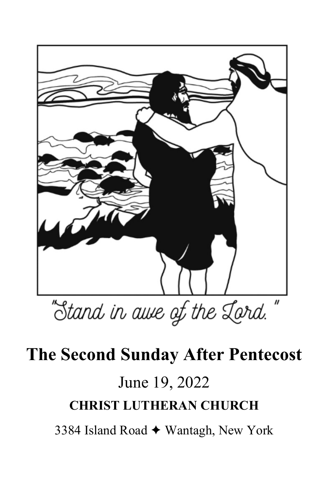

# **The Second Sunday After Pentecost**

# June 19, 2022 **CHRIST LUTHERAN CHURCH**

3384 Island Road ✦ Wantagh, New York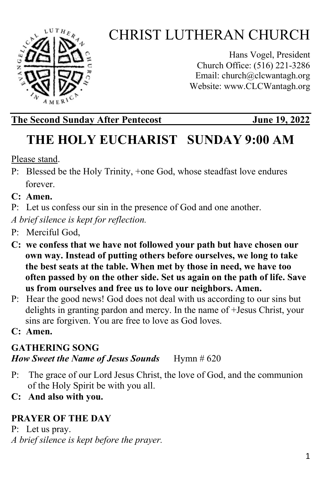

# CHRIST LUTHERAN CHURCH

Hans Vogel, President Church Office: (516) 221-3286 Email: church@clcwantagh.org Website: [www.CLCWantagh.org](http://www.clcwantagh.org/)

#### **The Second Sunday After Pentecost June 19, 2022**

## **THE HOLY EUCHARIST SUNDAY 9:00 AM**

Please stand.

- P: Blessed be the Holy Trinity, +one God, whose steadfast love endures forever.
- **C: Amen.**
- P: Let us confess our sin in the presence of God and one another.

*A brief silence is kept for reflection.*

- P: Merciful God,
- **C: we confess that we have not followed your path but have chosen our own way. Instead of putting others before ourselves, we long to take the best seats at the table. When met by those in need, we have too often passed by on the other side. Set us again on the path of life. Save us from ourselves and free us to love our neighbors. Amen.**
- P: Hear the good news! God does not deal with us according to our sins but delights in granting pardon and mercy. In the name of +Jesus Christ, your sins are forgiven. You are free to love as God loves.
- **C: Amen.**

#### **GATHERING SONG**  *How Sweet the Name of Jesus Sounds* Hymn # 620

- P: The grace of our Lord Jesus Christ, the love of God, and the communion of the Holy Spirit be with you all.
- **C: And also with you.**

#### **PRAYER OF THE DAY**

P: Let us pray. *A brief silence is kept before the prayer.*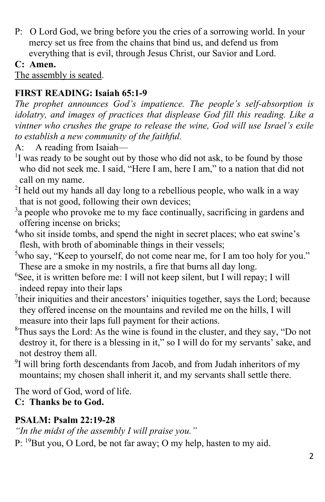P: O Lord God, we bring before you the cries of a sorrowing world. In your mercy set us free from the chains that bind us, and defend us from everything that is evil, through Jesus Christ, our Savior and Lord.

#### **C: Amen.**

The assembly is seated.

#### **FIRST READING: Isaiah 65:1-9**

*The prophet announces God's impatience. The people's self-absorption is idolatry, and images of practices that displease God fill this reading. Like a vintner who crushes the grape to release the wine, God will use Israel's exile to establish a new community of the faithful.*

A: A reading from Isaiah— 1

- $\rm{^{1}}$ I was ready to be sought out by those who did not ask, to be found by those who did not seek me. I said, "Here I am, here I am," to a nation that did not call on my name.
- $2$ I held out my hands all day long to a rebellious people, who walk in a way that is not good, following their own devices;
- <sup>3</sup>a people who provoke me to my face continually, sacrificing in gardens and offering incense on bricks;
- <sup>4</sup>who sit inside tombs, and spend the night in secret places; who eat swine's flesh, with broth of abominable things in their vessels;
- <sup>5</sup>who say, "Keep to yourself, do not come near me, for I am too holy for you." These are a smoke in my nostrils, a fire that burns all day long.
- <sup>6</sup>See, it is written before me: I will not keep silent, but I will repay; I will indeed repay into their laps
- <sup>7</sup>their iniquities and their ancestors' iniquities together, says the Lord; because they offered incense on the mountains and reviled me on the hills, I will measure into their laps full payment for their actions.
- <sup>8</sup>Thus says the Lord: As the wine is found in the cluster, and they say, "Do not destroy it, for there is a blessing in it," so I will do for my servants' sake, and not destroy them all.
- <sup>9</sup>I will bring forth descendants from Jacob, and from Judah inheritors of my mountains; my chosen shall inherit it, and my servants shall settle there.

The word of God, word of life.

#### **C: Thanks be to God.**

#### **PSALM: Psalm 22:19-28**

*"In the midst of the assembly I will praise you."* 

P: <sup>19</sup>But you, O Lord, be not far away; O my help, hasten to my aid.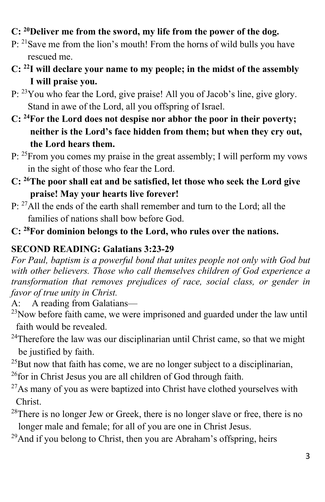#### **C: 20Deliver me from the sword, my life from the power of the dog.**

- P: <sup>21</sup>Save me from the lion's mouth! From the horns of wild bulls you have rescued me.
- **C: 22I will declare your name to my people; in the midst of the assembly I will praise you.**
- P: 23You who fear the Lord, give praise! All you of Jacob's line, give glory. Stand in awe of the Lord, all you offspring of Israel.
- **C: 24For the Lord does not despise nor abhor the poor in their poverty; neither is the Lord's face hidden from them; but when they cry out, the Lord hears them.**
- P: <sup>25</sup>From you comes my praise in the great assembly; I will perform my vows in the sight of those who fear the Lord.
- **C: 26The poor shall eat and be satisfied, let those who seek the Lord give praise! May your hearts live forever!**
- P: <sup>27</sup>All the ends of the earth shall remember and turn to the Lord; all the families of nations shall bow before God.
- **C: 28For dominion belongs to the Lord, who rules over the nations.**

#### **SECOND READING: Galatians 3:23-29**

*For Paul, baptism is a powerful bond that unites people not only with God but with other believers. Those who call themselves children of God experience a transformation that removes prejudices of race, social class, or gender in favor of true unity in Christ.*

A: A reading from Galatians—

- $^{23}$ Now before faith came, we were imprisoned and guarded under the law until faith would be revealed.
- $24$ Therefore the law was our disciplinarian until Christ came, so that we might be justified by faith.
- $^{25}$ But now that faith has come, we are no longer subject to a disciplinarian,  $^{26}$ for in Christ Jesus you are all children of God through faith.
- $^{27}$ As many of you as were baptized into Christ have clothed yourselves with Christ.
- $28$ There is no longer Jew or Greek, there is no longer slave or free, there is no longer male and female; for all of you are one in Christ Jesus.
- $29$ And if you belong to Christ, then you are Abraham's offspring, heirs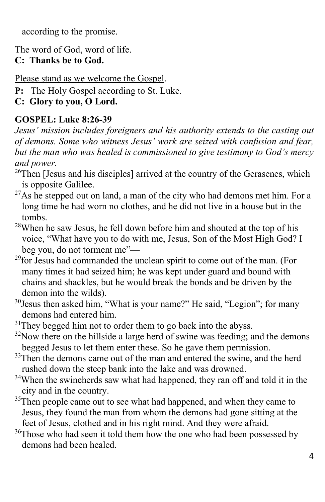according to the promise.

The word of God, word of life. **C: Thanks be to God.** 

Please stand as we welcome the Gospel.

- **P:** The Holy Gospel according to St. Luke.
- **C: Glory to you, O Lord.**

#### **GOSPEL: Luke 8:26-39**

*Jesus' mission includes foreigners and his authority extends to the casting out of demons. Some who witness Jesus' work are seized with confusion and fear, but the man who was healed is commissioned to give testimony to God's mercy and power.* 

- <sup>26</sup>Then [Jesus and his disciples] arrived at the country of the Gerasenes, which is opposite Galilee.
- $27$ As he stepped out on land, a man of the city who had demons met him. For a long time he had worn no clothes, and he did not live in a house but in the tombs.
- $28$ When he saw Jesus, he fell down before him and shouted at the top of his voice, "What have you to do with me, Jesus, Son of the Most High God? I beg you, do not torment me"—<br><sup>29</sup>for Jesus had commanded the unclean spirit to come out of the man. (For
- many times it had seized him; he was kept under guard and bound with chains and shackles, but he would break the bonds and be driven by the demon into the wilds).
- <sup>30</sup>Jesus then asked him, "What is your name?" He said, "Legion"; for many demons had entered him.
- $31$ They begged him not to order them to go back into the abyss.
- $32$ Now there on the hillside a large herd of swine was feeding; and the demons begged Jesus to let them enter these. So he gave them permission.
- <sup>33</sup>Then the demons came out of the man and entered the swine, and the herd rushed down the steep bank into the lake and was drowned.
- <sup>34</sup>When the swineherds saw what had happened, they ran off and told it in the city and in the country.
- <sup>35</sup>Then people came out to see what had happened, and when they came to Jesus, they found the man from whom the demons had gone sitting at the feet of Jesus, clothed and in his right mind. And they were afraid.
- <sup>36</sup>Those who had seen it told them how the one who had been possessed by demons had been healed.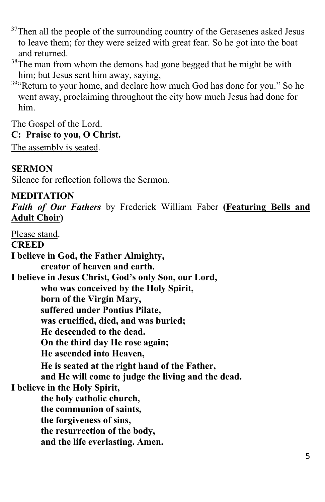$37$ Then all the people of the surrounding country of the Gerasenes asked Jesus to leave them; for they were seized with great fear. So he got into the boat and returned.

- <sup>38</sup>The man from whom the demons had gone begged that he might be with him; but Jesus sent him away, saying,
- <sup>39</sup>"Return to your home, and declare how much God has done for you." So he went away, proclaiming throughout the city how much Jesus had done for him.

The Gospel of the Lord. **C: Praise to you, O Christ.**  The assembly is seated.

**SERMON**

Silence for reflection follows the Sermon.

**MEDITATION** *Faith of Our Fathers* by Frederick William Faber **(Featuring Bells and Adult Choir)**

Please stand. **CREED I believe in God, the Father Almighty, creator of heaven and earth. I believe in Jesus Christ, God's only Son, our Lord, who was conceived by the Holy Spirit, born of the Virgin Mary, suffered under Pontius Pilate, was crucified, died, and was buried; He descended to the dead. On the third day He rose again; He ascended into Heaven, He is seated at the right hand of the Father, and He will come to judge the living and the dead. I believe in the Holy Spirit, the holy catholic church, the communion of saints, the forgiveness of sins, the resurrection of the body, and the life everlasting. Amen.**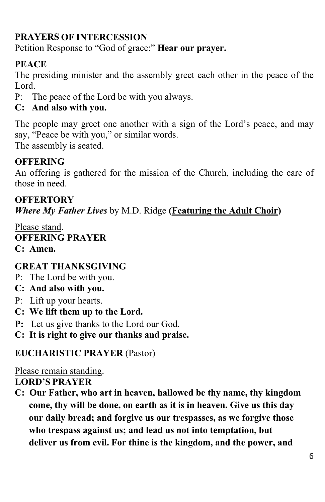#### **PRAYERS OF INTERCESSION**

Petition Response to "God of grace:" **Hear our prayer.**

#### **PEACE**

The presiding minister and the assembly greet each other in the peace of the Lord.

P: The peace of the Lord be with you always.

#### **C: And also with you.**

The people may greet one another with a sign of the Lord's peace, and may say, "Peace be with you," or similar words.

The assembly is seated.

#### **OFFERING**

An offering is gathered for the mission of the Church, including the care of those in need.

## **OFFERTORY**  *Where My Father Lives* by M.D. Ridge **(Featuring the Adult Choir)**

Please stand. **OFFERING PRAYER C: Amen.**

#### **GREAT THANKSGIVING**

- P:The Lord be with you.
- **C: And also with you.**
- P:Lift up your hearts.
- **C: We lift them up to the Lord.**
- **P:** Let us give thanks to the Lord our God.
- **C: It is right to give our thanks and praise.**

#### **EUCHARISTIC PRAYER** (Pastor)

Please remain standing.

#### **LORD'S PRAYER**

**C: Our Father, who art in heaven, hallowed be thy name, thy kingdom come, thy will be done, on earth as it is in heaven. Give us this day our daily bread; and forgive us our trespasses, as we forgive those who trespass against us; and lead us not into temptation, but deliver us from evil. For thine is the kingdom, and the power, and**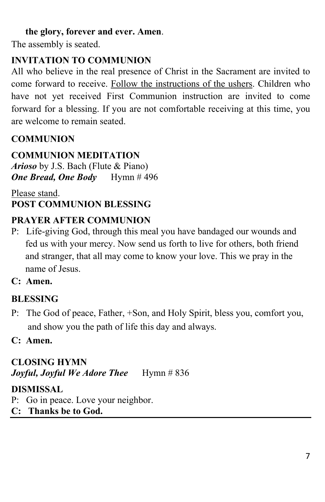#### **the glory, forever and ever. Amen**.

The assembly is seated.

#### **INVITATION TO COMMUNION**

All who believe in the real presence of Christ in the Sacrament are invited to come forward to receive. Follow the instructions of the ushers. Children who have not yet received First Communion instruction are invited to come forward for a blessing. If you are not comfortable receiving at this time, you are welcome to remain seated.

#### **COMMUNION**

#### **COMMUNION MEDITATION**

*Arioso* by J.S. Bach (Flute & Piano) *One Bread, One Body* Hymn # 496

#### Please stand. **POST COMMUNION BLESSING**

#### **PRAYER AFTER COMMUNION**

- P: Life-giving God, through this meal you have bandaged our wounds and fed us with your mercy. Now send us forth to live for others, both friend and stranger, that all may come to know your love. This we pray in the name of Jesus.
- **C: Amen.**

#### **BLESSING**

- P: The God of peace, Father, +Son, and Holy Spirit, bless you, comfort you, and show you the path of life this day and always.
- **C: Amen.**

#### **CLOSING HYMN** *Joyful, Joyful We Adore Thee* Hymn # 836

#### **DISMISSAL**

- P: Go in peace. Love your neighbor.
- **C: Thanks be to God.**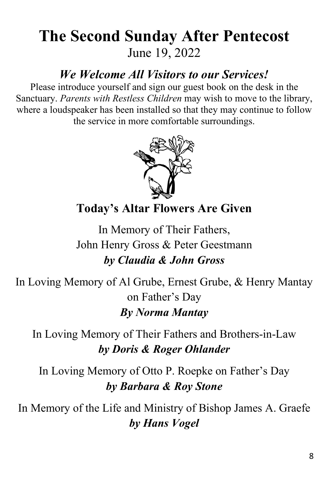## **The Second Sunday After Pentecost** June 19, 2022

## *We Welcome All Visitors to our Services!*

Please introduce yourself and sign our guest book on the desk in the Sanctuary. *Parents with Restless Children* may wish to move to the library, where a loudspeaker has been installed so that they may continue to follow the service in more comfortable surroundings.



**Today's Altar Flowers Are Given**

In Memory of Their Fathers, John Henry Gross & Peter Geestmann *by Claudia & John Gross*

In Loving Memory of Al Grube, Ernest Grube, & Henry Mantay on Father's Day *By Norma Mantay*

In Loving Memory of Their Fathers and Brothers-in-Law *by Doris & Roger Ohlander*

In Loving Memory of Otto P. Roepke on Father's Day *by Barbara & Roy Stone*

In Memory of the Life and Ministry of Bishop James A. Graefe *by Hans Vogel*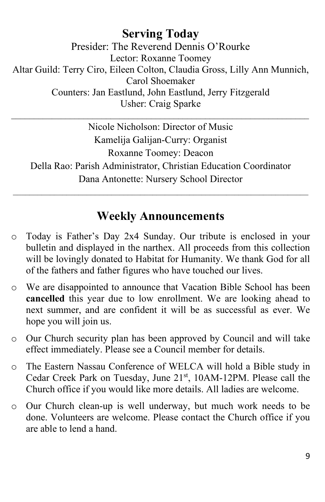#### **Serving Today** Presider: The Reverend Dennis O'Rourke Lector: Roxanne Toomey Altar Guild: Terry Ciro, Eileen Colton, Claudia Gross, Lilly Ann Munnich, Carol Shoemaker Counters: Jan Eastlund, John Eastlund, Jerry Fitzgerald Usher: Craig Sparke

Nicole Nicholson: Director of Music Kamelija Galijan-Curry: Organist Roxanne Toomey: Deacon Della Rao: Parish Administrator, Christian Education Coordinator Dana Antonette: Nursery School Director

 $\mathcal{L}_\text{max}$  , and the contribution of the contribution of the contribution of the contribution of the contribution of the contribution of the contribution of the contribution of the contribution of the contribution of t

### **Weekly Announcements**

 $\mathcal{L}_\text{max} = \mathcal{L}_\text{max} = \mathcal{L}_\text{max} = \mathcal{L}_\text{max} = \mathcal{L}_\text{max} = \mathcal{L}_\text{max} = \mathcal{L}_\text{max} = \mathcal{L}_\text{max} = \mathcal{L}_\text{max} = \mathcal{L}_\text{max} = \mathcal{L}_\text{max} = \mathcal{L}_\text{max} = \mathcal{L}_\text{max} = \mathcal{L}_\text{max} = \mathcal{L}_\text{max} = \mathcal{L}_\text{max} = \mathcal{L}_\text{max} = \mathcal{L}_\text{max} = \mathcal{$ 

- o Today is Father's Day 2x4 Sunday. Our tribute is enclosed in your bulletin and displayed in the narthex. All proceeds from this collection will be lovingly donated to Habitat for Humanity. We thank God for all of the fathers and father figures who have touched our lives.
- o We are disappointed to announce that Vacation Bible School has been **cancelled** this year due to low enrollment. We are looking ahead to next summer, and are confident it will be as successful as ever. We hope you will join us.
- o Our Church security plan has been approved by Council and will take effect immediately. Please see a Council member for details.
- o The Eastern Nassau Conference of WELCA will hold a Bible study in Cedar Creek Park on Tuesday, June 21st, 10AM-12PM. Please call the Church office if you would like more details. All ladies are welcome.
- o Our Church clean-up is well underway, but much work needs to be done. Volunteers are welcome. Please contact the Church office if you are able to lend a hand.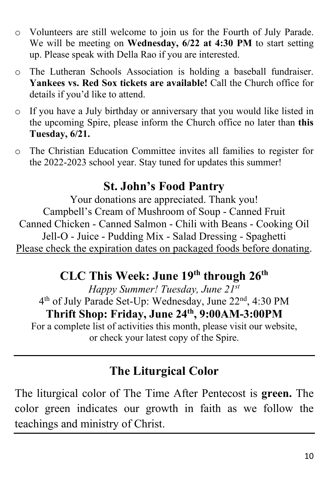- o Volunteers are still welcome to join us for the Fourth of July Parade. We will be meeting on **Wednesday, 6/22 at 4:30 PM** to start setting up. Please speak with Della Rao if you are interested.
- o The Lutheran Schools Association is holding a baseball fundraiser. **Yankees vs. Red Sox tickets are available!** Call the Church office for details if you'd like to attend.
- o If you have a July birthday or anniversary that you would like listed in the upcoming Spire, please inform the Church office no later than **this Tuesday, 6/21.**
- o The Christian Education Committee invites all families to register for the 2022-2023 school year. Stay tuned for updates this summer!

## **St. John's Food Pantry**

Your donations are appreciated. Thank you! Campbell's Cream of Mushroom of Soup - Canned Fruit Canned Chicken - Canned Salmon - Chili with Beans - Cooking Oil Jell-O - Juice - Pudding Mix - Salad Dressing - Spaghetti Please check the expiration dates on packaged foods before donating.

## **CLC This Week: June 19th through 26th**

*Happy Summer! Tuesday, June 21st* 4<sup>th</sup> of July Parade Set-Up: Wednesday, June 22<sup>nd</sup>, 4:30 PM **Thrift Shop: Friday, June 24th, 9:00AM-3:00PM**

For a complete list of activities this month, please visit our website, or check your latest copy of the Spire.

## **The Liturgical Color**

The liturgical color of The Time After Pentecost is **green.** The color green indicates our growth in faith as we follow the teachings and ministry of Christ.